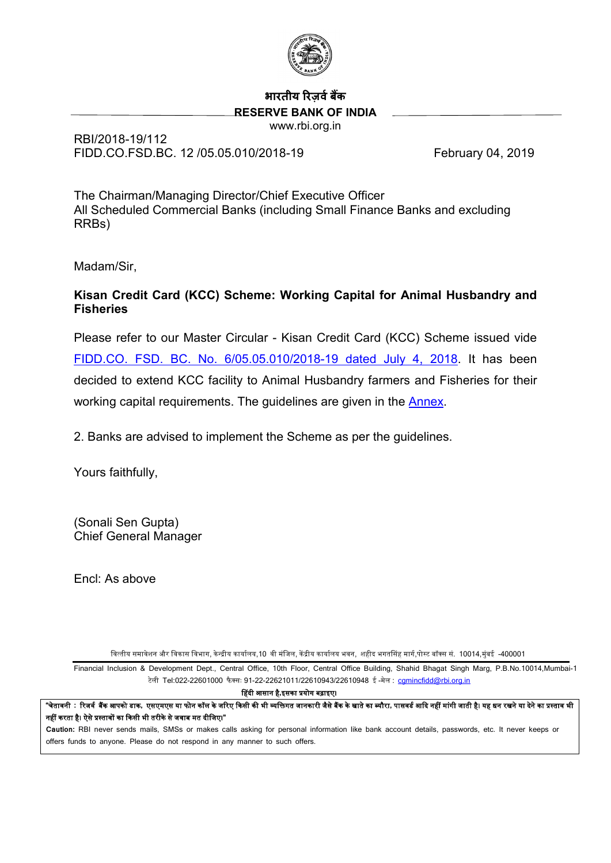

# **भारतीय �रज़वर्ब�क RESERVE BANK OF INDIA**

www.rbi.org.in

RBI/2018-19/112 FIDD.CO.FSD.BC. 12 /05.05.010/2018-19 February 04, 2019

The Chairman/Managing Director/Chief Executive Officer All Scheduled Commercial Banks (including Small Finance Banks and excluding RRBs)

Madam/Sir,

# **Kisan Credit Card (KCC) Scheme: Working Capital for Animal Husbandry and Fisheries**

Please refer to our Master Circular - Kisan Credit Card (KCC) Scheme issued vide FIDD.CO. FSD. [BC. No. 6/05.05.010/2018-19 dated July 4, 2018.](https://www.rbi.org.in/Scripts/NotificationUser.aspx?Id=11325&Mode=0) It has been decided to extend KCC facility to Animal Husbandry farmers and Fisheries for their working capital requirements. The guidelines are given in the **Annex**.

2. Banks are advised to implement the Scheme as per the guidelines.

Yours faithfully,

(Sonali Sen Gupta) Chief General Manager

Encl: As above

वित्तीय समावेशन और विकास विभाग, केन्द्रीय कार्यालय,10 वी मंजिल, केंद्रीय कार्यालय भवन, शहीद भगतसिंह मार्ग,पोस्ट बॉक्स सं. 10014,मुंबई -400001

Financial Inclusion & Development Dept., Central Office, 10th Floor, Central Office Building, Shahid Bhagat Singh Marg, P.B.No.10014,Mumbai-1 टेली Tel:022-22601000 फै क्सः 91-22-22621011/22610943/22610948 ई -मेल : [cgmincfidd@rbi.org.in](mailto:cgmincfidd@rbi.org.in)

�हदी आसान है**,**इसका �योग बढ़ाइए।

"चेतावनी : रिजर्व बैंक आपको डाक, एसएमएस या फोन कॉल के जरिए किसी की भी व्यक्तिगत जानकारी जैसे बैंक के खाते का विकेत<br>"चेतावनी : रिजर्व बैंक आपको डाक, एसएमएस या फोन कॉल के जरिए किसी की भी व्यक्तिगत जानकारी जैसे बैंक के खाते नहीं करता है। ऐसे प्रस्तावों का किसी भी तरीके से जवाब मत दीजिए।"

<span id="page-0-0"></span>**Caution:** RBI never sends mails, SMSs or makes calls asking for personal information like bank account details, passwords, etc. It never keeps or offers funds to anyone. Please do not respond in any manner to such offers.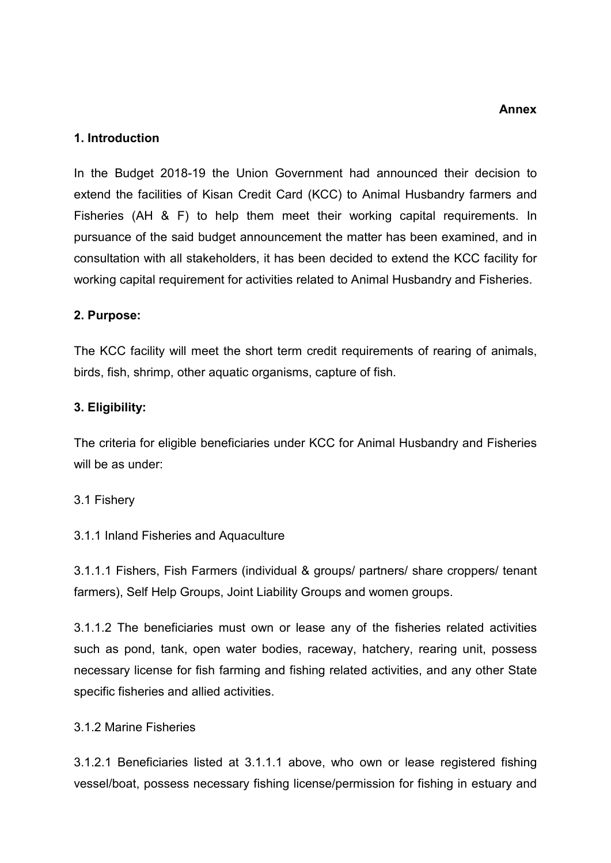#### **Annex**

## **1. Introduction**

In the Budget 2018-19 the Union Government had announced their decision to extend the facilities of Kisan Credit Card (KCC) to Animal Husbandry farmers and Fisheries (AH & F) to help them meet their working capital requirements. In pursuance of the said budget announcement the matter has been examined, and in consultation with all stakeholders, it has been decided to extend the KCC facility for working capital requirement for activities related to Animal Husbandry and Fisheries.

### **2. Purpose:**

The KCC facility will meet the short term credit requirements of rearing of animals, birds, fish, shrimp, other aquatic organisms, capture of fish.

### **3. Eligibility:**

The criteria for eligible beneficiaries under KCC for Animal Husbandry and Fisheries will be as under:

#### 3.1 Fishery

#### 3.1.1 Inland Fisheries and Aquaculture

3.1.1.1 Fishers, Fish Farmers (individual & groups/ partners/ share croppers/ tenant farmers), Self Help Groups, Joint Liability Groups and women groups.

3.1.1.2 The beneficiaries must own or lease any of the fisheries related activities such as pond, tank, open water bodies, raceway, hatchery, rearing unit, possess necessary license for fish farming and fishing related activities, and any other State specific fisheries and allied activities.

#### 3.1.2 Marine Fisheries

3.1.2.1 Beneficiaries listed at 3.1.1.1 above, who own or lease registered fishing vessel/boat, possess necessary fishing license/permission for fishing in estuary and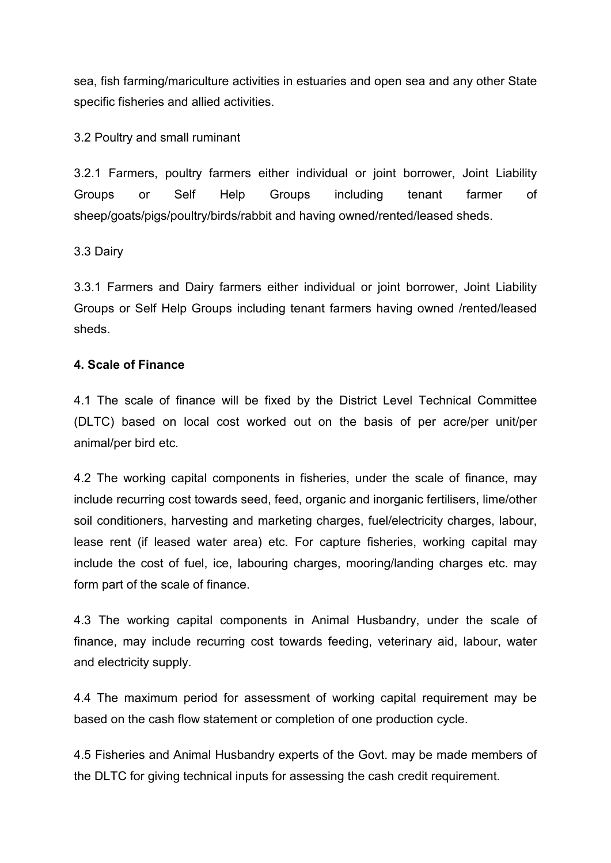sea, fish farming/mariculture activities in estuaries and open sea and any other State specific fisheries and allied activities.

3.2 Poultry and small ruminant

3.2.1 Farmers, poultry farmers either individual or joint borrower, Joint Liability Groups or Self Help Groups including tenant farmer of sheep/goats/pigs/poultry/birds/rabbit and having owned/rented/leased sheds.

# 3.3 Dairy

3.3.1 Farmers and Dairy farmers either individual or joint borrower, Joint Liability Groups or Self Help Groups including tenant farmers having owned /rented/leased sheds.

# **4. Scale of Finance**

4.1 The scale of finance will be fixed by the District Level Technical Committee (DLTC) based on local cost worked out on the basis of per acre/per unit/per animal/per bird etc.

4.2 The working capital components in fisheries, under the scale of finance, may include recurring cost towards seed, feed, organic and inorganic fertilisers, lime/other soil conditioners, harvesting and marketing charges, fuel/electricity charges, labour, lease rent (if leased water area) etc. For capture fisheries, working capital may include the cost of fuel, ice, labouring charges, mooring/landing charges etc. may form part of the scale of finance.

4.3 The working capital components in Animal Husbandry, under the scale of finance, may include recurring cost towards feeding, veterinary aid, labour, water and electricity supply.

4.4 The maximum period for assessment of working capital requirement may be based on the cash flow statement or completion of one production cycle.

4.5 Fisheries and Animal Husbandry experts of the Govt. may be made members of the DLTC for giving technical inputs for assessing the cash credit requirement.